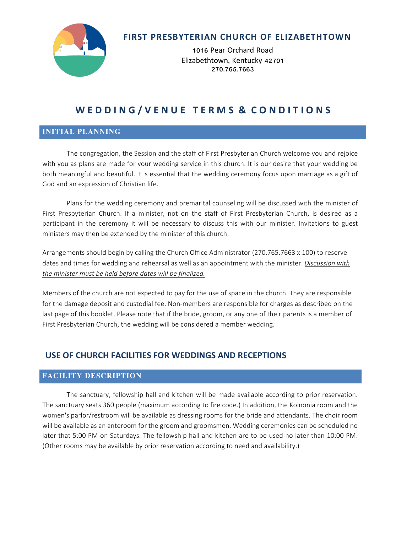

## **FIRST PRESBYTERIAN CHURCH OF ELIZABETHTOWN**

1016 Pear Orchard Road Elizabethtown, Kentucky 42701 270.765.7663

# WEDDING/VENUE TERMS & CONDITIONS

#### **INITIAL PLANNING**

The congregation, the Session and the staff of First Presbyterian Church welcome you and rejoice with you as plans are made for your wedding service in this church. It is our desire that your wedding be both meaningful and beautiful. It is essential that the wedding ceremony focus upon marriage as a gift of God and an expression of Christian life.

Plans for the wedding ceremony and premarital counseling will be discussed with the minister of First Presbyterian Church. If a minister, not on the staff of First Presbyterian Church, is desired as a participant in the ceremony it will be necessary to discuss this with our minister. Invitations to guest ministers may then be extended by the minister of this church.

Arrangements should begin by calling the Church Office Administrator (270.765.7663 x 100) to reserve dates and times for wedding and rehearsal as well as an appointment with the minister. *Discussion with* the minister must be held before dates will be finalized.

Members of the church are not expected to pay for the use of space in the church. They are responsible for the damage deposit and custodial fee. Non-members are responsible for charges as described on the last page of this booklet. Please note that if the bride, groom, or any one of their parents is a member of First Presbyterian Church, the wedding will be considered a member wedding.

## **USE OF CHURCH FACILITIES FOR WEDDINGS AND RECEPTIONS**

### **FACILITY DESCRIPTION**

The sanctuary, fellowship hall and kitchen will be made available according to prior reservation. The sanctuary seats 360 people (maximum according to fire code.) In addition, the Koinonia room and the women's parlor/restroom will be available as dressing rooms for the bride and attendants. The choir room will be available as an anteroom for the groom and groomsmen. Wedding ceremonies can be scheduled no later that 5:00 PM on Saturdays. The fellowship hall and kitchen are to be used no later than 10:00 PM. (Other rooms may be available by prior reservation according to need and availability.)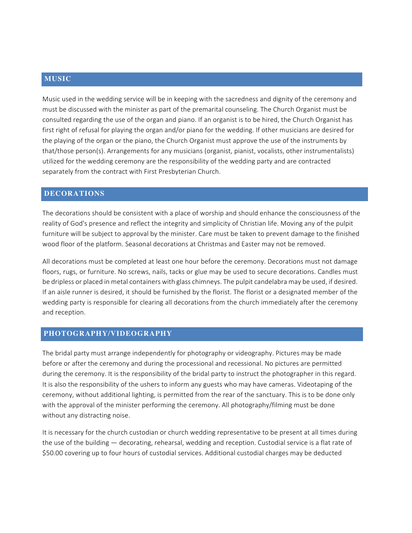### **MUSIC**

Music used in the wedding service will be in keeping with the sacredness and dignity of the ceremony and must be discussed with the minister as part of the premarital counseling. The Church Organist must be consulted regarding the use of the organ and piano. If an organist is to be hired, the Church Organist has first right of refusal for playing the organ and/or piano for the wedding. If other musicians are desired for the playing of the organ or the piano, the Church Organist must approve the use of the instruments by that/those person(s). Arrangements for any musicians (organist, pianist, vocalists, other instrumentalists) utilized for the wedding ceremony are the responsibility of the wedding party and are contracted separately from the contract with First Presbyterian Church.

### **DECORATIONS**

The decorations should be consistent with a place of worship and should enhance the consciousness of the reality of God's presence and reflect the integrity and simplicity of Christian life. Moving any of the pulpit furniture will be subject to approval by the minister. Care must be taken to prevent damage to the finished wood floor of the platform. Seasonal decorations at Christmas and Easter may not be removed.

All decorations must be completed at least one hour before the ceremony. Decorations must not damage floors, rugs, or furniture. No screws, nails, tacks or glue may be used to secure decorations. Candles must be dripless or placed in metal containers with glass chimneys. The pulpit candelabra may be used, if desired. If an aisle runner is desired, it should be furnished by the florist. The florist or a designated member of the wedding party is responsible for clearing all decorations from the church immediately after the ceremony and reception.

#### **PHOTOGRAPHY/VIDEOGRAPHY**

The bridal party must arrange independently for photography or videography. Pictures may be made before or after the ceremony and during the processional and recessional. No pictures are permitted during the ceremony. It is the responsibility of the bridal party to instruct the photographer in this regard. It is also the responsibility of the ushers to inform any guests who may have cameras. Videotaping of the ceremony, without additional lighting, is permitted from the rear of the sanctuary. This is to be done only with the approval of the minister performing the ceremony. All photography/filming must be done without any distracting noise.

It is necessary for the church custodian or church wedding representative to be present at all times during the use of the building — decorating, rehearsal, wedding and reception. Custodial service is a flat rate of \$50.00 covering up to four hours of custodial services. Additional custodial charges may be deducted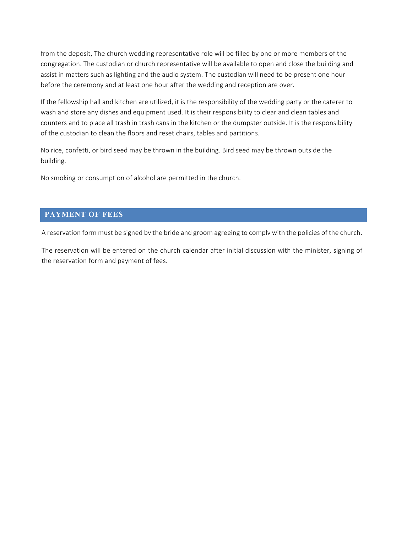from the deposit, The church wedding representative role will be filled by one or more members of the congregation. The custodian or church representative will be available to open and close the building and assist in matters such as lighting and the audio system. The custodian will need to be present one hour before the ceremony and at least one hour after the wedding and reception are over.

If the fellowship hall and kitchen are utilized, it is the responsibility of the wedding party or the caterer to wash and store any dishes and equipment used. It is their responsibility to clear and clean tables and counters and to place all trash in trash cans in the kitchen or the dumpster outside. It is the responsibility of the custodian to clean the floors and reset chairs, tables and partitions.

No rice, confetti, or bird seed may be thrown in the building. Bird seed may be thrown outside the building.

No smoking or consumption of alcohol are permitted in the church.

#### **PAYMENT OF FEES**

A reservation form must be signed by the bride and groom agreeing to comply with the policies of the church.

The reservation will be entered on the church calendar after initial discussion with the minister, signing of the reservation form and payment of fees.